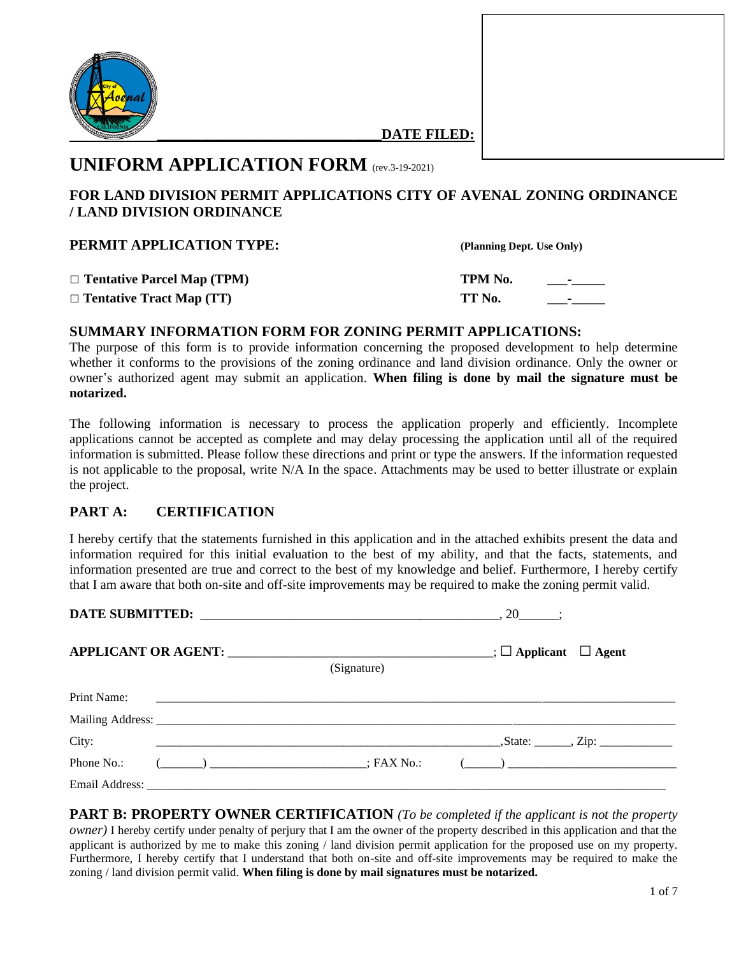

**\_\_\_\_\_\_\_\_\_\_\_\_\_\_\_\_\_\_\_\_\_\_\_\_\_\_\_\_\_\_\_DATE FILED:**

# **UNIFORM APPLICATION FORM** (rev.3-19-2021)

## **FOR LAND DIVISION PERMIT APPLICATIONS CITY OF AVENAL ZONING ORDINANCE / LAND DIVISION ORDINANCE**

| <b>PERMIT APPLICATION TYPE:</b>   | (Planning Dept. Use Only) |                    |
|-----------------------------------|---------------------------|--------------------|
| $\Box$ Tentative Parcel Map (TPM) | TPM No.                   | <b>Service</b>     |
| $\Box$ Tentative Tract Map (TT)   | TT No.                    | <b>State State</b> |

## **SUMMARY INFORMATION FORM FOR ZONING PERMIT APPLICATIONS:**

The purpose of this form is to provide information concerning the proposed development to help determine whether it conforms to the provisions of the zoning ordinance and land division ordinance. Only the owner or owner's authorized agent may submit an application. **When filing is done by mail the signature must be notarized.**

The following information is necessary to process the application properly and efficiently. Incomplete applications cannot be accepted as complete and may delay processing the application until all of the required information is submitted. Please follow these directions and print or type the answers. If the information requested is not applicable to the proposal, write N/A In the space. Attachments may be used to better illustrate or explain the project.

## **PART A: CERTIFICATION**

I hereby certify that the statements furnished in this application and in the attached exhibits present the data and information required for this initial evaluation to the best of my ability, and that the facts, statements, and information presented are true and correct to the best of my knowledge and belief. Furthermore, I hereby certify that I am aware that both on-site and off-site improvements may be required to make the zoning permit valid.

|             |                                                                    | (Signature) |                                                                                                                                                                                                                                                                                                                                                                    |  |
|-------------|--------------------------------------------------------------------|-------------|--------------------------------------------------------------------------------------------------------------------------------------------------------------------------------------------------------------------------------------------------------------------------------------------------------------------------------------------------------------------|--|
| Print Name: |                                                                    |             |                                                                                                                                                                                                                                                                                                                                                                    |  |
|             |                                                                    |             |                                                                                                                                                                                                                                                                                                                                                                    |  |
| City:       |                                                                    |             |                                                                                                                                                                                                                                                                                                                                                                    |  |
| Phone No.:  | $(\underline{\hspace{1cm}})$ $\underline{\hspace{1cm}}$ ; FAX No.: |             | $\begin{picture}(150,10) \put(0,0){\vector(1,0){100}} \put(15,0){\vector(1,0){100}} \put(15,0){\vector(1,0){100}} \put(15,0){\vector(1,0){100}} \put(15,0){\vector(1,0){100}} \put(15,0){\vector(1,0){100}} \put(15,0){\vector(1,0){100}} \put(15,0){\vector(1,0){100}} \put(15,0){\vector(1,0){100}} \put(15,0){\vector(1,0){100}} \put(15,0){\vector(1,0){100}}$ |  |
|             |                                                                    |             |                                                                                                                                                                                                                                                                                                                                                                    |  |

**PART B: PROPERTY OWNER CERTIFICATION** *(To be completed if the applicant is not the property owner)* I hereby certify under penalty of perjury that I am the owner of the property described in this application and that the applicant is authorized by me to make this zoning / land division permit application for the proposed use on my property. Furthermore, I hereby certify that I understand that both on-site and off-site improvements may be required to make the zoning / land division permit valid. **When filing is done by mail signatures must be notarized.**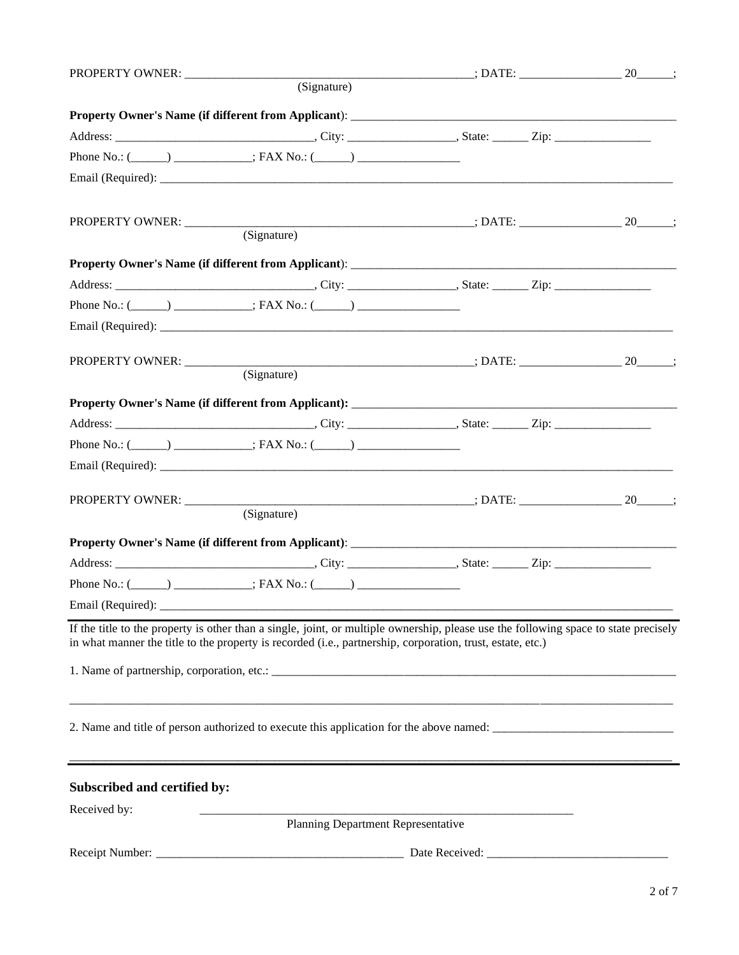|                                                                                                                                                                                                                                                    |                                    | $\overbrace{\hspace{2.5cm}}$ $\overbrace{\hspace{2.5cm}}$ $\overbrace{\hspace{2.5cm}}$ $\overbrace{\hspace{2.5cm}}$ $\overbrace{\hspace{2.5cm}}$ $\overbrace{\hspace{2.5cm}}$ $\overbrace{\hspace{2.5cm}}$ $\overbrace{\hspace{2.5cm}}$ $\overbrace{\hspace{2.5cm}}$ $\overbrace{\hspace{2.5cm}}$ $\overbrace{\hspace{2.5cm}}$ $\overbrace{\hspace{2.5cm}}$ $\overbrace{\hspace{2.5cm}}$ |  |
|----------------------------------------------------------------------------------------------------------------------------------------------------------------------------------------------------------------------------------------------------|------------------------------------|------------------------------------------------------------------------------------------------------------------------------------------------------------------------------------------------------------------------------------------------------------------------------------------------------------------------------------------------------------------------------------------|--|
|                                                                                                                                                                                                                                                    | (Signature)                        |                                                                                                                                                                                                                                                                                                                                                                                          |  |
|                                                                                                                                                                                                                                                    |                                    |                                                                                                                                                                                                                                                                                                                                                                                          |  |
| Address: City: City: State: Zip: Zip:                                                                                                                                                                                                              |                                    |                                                                                                                                                                                                                                                                                                                                                                                          |  |
| Phone No.: $(\_\_\_\_\_\_\_\$ : FAX No.: $(\_\_\_\_\_\_\_\_\_\_\_\$                                                                                                                                                                                |                                    |                                                                                                                                                                                                                                                                                                                                                                                          |  |
|                                                                                                                                                                                                                                                    |                                    |                                                                                                                                                                                                                                                                                                                                                                                          |  |
|                                                                                                                                                                                                                                                    |                                    |                                                                                                                                                                                                                                                                                                                                                                                          |  |
|                                                                                                                                                                                                                                                    |                                    |                                                                                                                                                                                                                                                                                                                                                                                          |  |
|                                                                                                                                                                                                                                                    |                                    |                                                                                                                                                                                                                                                                                                                                                                                          |  |
|                                                                                                                                                                                                                                                    |                                    |                                                                                                                                                                                                                                                                                                                                                                                          |  |
| Phone No.: $(\_\_\_\_\_)$ ___________; FAX No.: $(\_\_\_\_\_)$                                                                                                                                                                                     |                                    |                                                                                                                                                                                                                                                                                                                                                                                          |  |
|                                                                                                                                                                                                                                                    |                                    |                                                                                                                                                                                                                                                                                                                                                                                          |  |
|                                                                                                                                                                                                                                                    |                                    |                                                                                                                                                                                                                                                                                                                                                                                          |  |
|                                                                                                                                                                                                                                                    | (Signature)                        |                                                                                                                                                                                                                                                                                                                                                                                          |  |
|                                                                                                                                                                                                                                                    |                                    |                                                                                                                                                                                                                                                                                                                                                                                          |  |
|                                                                                                                                                                                                                                                    |                                    |                                                                                                                                                                                                                                                                                                                                                                                          |  |
| Phone No.: $(\_\_)$ ___________; FAX No.: $(\_\_)$                                                                                                                                                                                                 |                                    |                                                                                                                                                                                                                                                                                                                                                                                          |  |
|                                                                                                                                                                                                                                                    |                                    |                                                                                                                                                                                                                                                                                                                                                                                          |  |
|                                                                                                                                                                                                                                                    |                                    |                                                                                                                                                                                                                                                                                                                                                                                          |  |
|                                                                                                                                                                                                                                                    | (Signature)                        |                                                                                                                                                                                                                                                                                                                                                                                          |  |
|                                                                                                                                                                                                                                                    |                                    |                                                                                                                                                                                                                                                                                                                                                                                          |  |
|                                                                                                                                                                                                                                                    |                                    |                                                                                                                                                                                                                                                                                                                                                                                          |  |
| Phone No.: $(\_\_)$ ___________; FAX No.: $(\_\_)$                                                                                                                                                                                                 |                                    |                                                                                                                                                                                                                                                                                                                                                                                          |  |
|                                                                                                                                                                                                                                                    |                                    |                                                                                                                                                                                                                                                                                                                                                                                          |  |
| If the title to the property is other than a single, joint, or multiple ownership, please use the following space to state precisely<br>in what manner the title to the property is recorded (i.e., partnership, corporation, trust, estate, etc.) |                                    |                                                                                                                                                                                                                                                                                                                                                                                          |  |
|                                                                                                                                                                                                                                                    |                                    |                                                                                                                                                                                                                                                                                                                                                                                          |  |
| 2. Name and title of person authorized to execute this application for the above named:                                                                                                                                                            |                                    |                                                                                                                                                                                                                                                                                                                                                                                          |  |
| Subscribed and certified by:                                                                                                                                                                                                                       |                                    |                                                                                                                                                                                                                                                                                                                                                                                          |  |
| Received by:                                                                                                                                                                                                                                       | Planning Department Representative |                                                                                                                                                                                                                                                                                                                                                                                          |  |
|                                                                                                                                                                                                                                                    |                                    |                                                                                                                                                                                                                                                                                                                                                                                          |  |
| Receipt Number:                                                                                                                                                                                                                                    |                                    | Date Received: _                                                                                                                                                                                                                                                                                                                                                                         |  |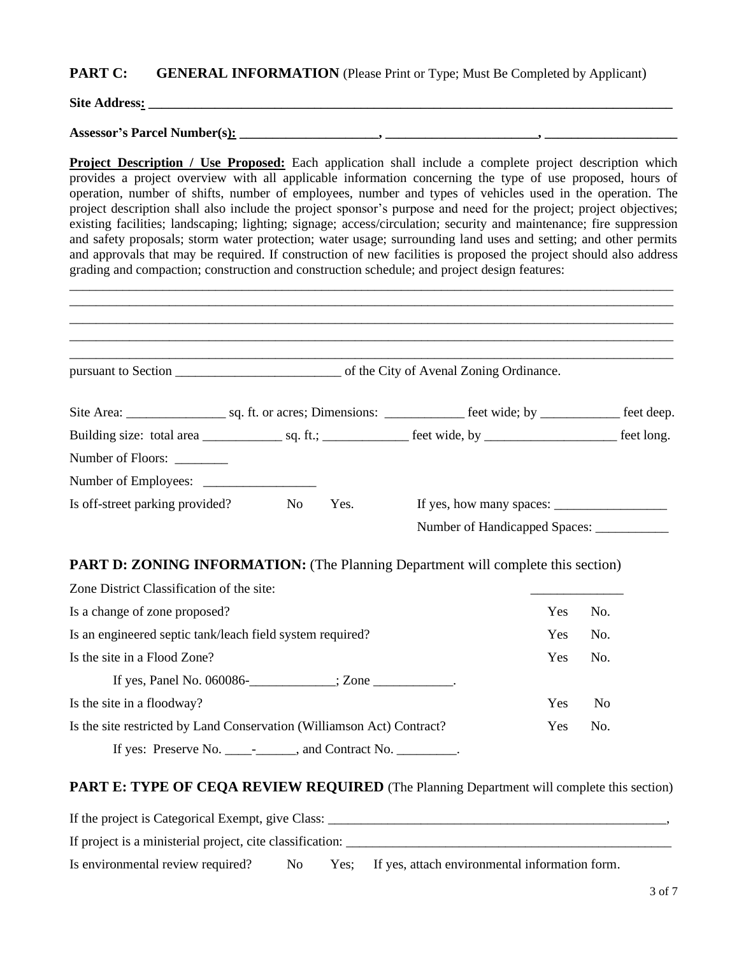#### **PART C: GENERAL INFORMATION** (Please Print or Type; Must Be Completed by Applicant)

**Site Address: \_\_\_\_\_\_\_\_\_\_\_\_\_\_\_\_\_\_\_\_\_\_\_\_\_\_\_\_\_\_\_\_\_\_\_\_\_\_\_\_\_\_\_\_\_\_\_\_\_\_\_\_\_\_\_\_\_\_\_\_\_\_\_\_\_\_\_\_\_\_\_\_\_\_\_\_\_\_\_**

**Assessor's Parcel Number(s): \_\_\_\_\_\_\_\_\_\_\_\_\_\_\_\_\_\_\_\_\_, \_\_\_\_\_\_\_\_\_\_\_\_\_\_\_\_\_\_\_\_\_\_\_, \_\_\_\_\_\_\_\_\_\_\_\_\_\_\_\_\_\_\_\_**

**Project Description / Use Proposed:** Each application shall include a complete project description which provides a project overview with all applicable information concerning the type of use proposed, hours of operation, number of shifts, number of employees, number and types of vehicles used in the operation. The project description shall also include the project sponsor's purpose and need for the project; project objectives; existing facilities; landscaping; lighting; signage; access/circulation; security and maintenance; fire suppression and safety proposals; storm water protection; water usage; surrounding land uses and setting; and other permits and approvals that may be required. If construction of new facilities is proposed the project should also address grading and compaction; construction and construction schedule; and project design features:

| pursuant to Section entries and the City of Avenal Zoning Ordinance.                    |  |     |     |
|-----------------------------------------------------------------------------------------|--|-----|-----|
|                                                                                         |  |     |     |
|                                                                                         |  |     |     |
| Number of Floors:                                                                       |  |     |     |
|                                                                                         |  |     |     |
| Is off-street parking provided? No Yes.                                                 |  |     |     |
|                                                                                         |  |     |     |
| <b>PART D: ZONING INFORMATION:</b> (The Planning Department will complete this section) |  |     |     |
| Zone District Classification of the site:                                               |  |     |     |
| Is a change of zone proposed?                                                           |  | Yes | No. |

| to a change of <i>E</i> one proposed.                                                     |            | .   |
|-------------------------------------------------------------------------------------------|------------|-----|
| Is an engineered septic tank/leach field system required?                                 | <b>Yes</b> | No. |
| Is the site in a Flood Zone?                                                              | Yes.       | No. |
| If yes, Panel No. 060086- $\_\_\_\_\_\$ ; Zone $\_\_\_\_\_\_\_\_\_\_\_\_\_\_\_\_\_\_\_$ . |            |     |
| Is the site in a floodway?                                                                | <b>Yes</b> | No  |
| Is the site restricted by Land Conservation (Williamson Act) Contract?                    | <b>Yes</b> | No. |
| If yes: Preserve No. $\frac{1}{\sqrt{2}}$ and Contract No. $\frac{1}{\sqrt{2}}$ .         |            |     |

#### **PART E: TYPE OF CEQA REVIEW REQUIRED** (The Planning Department will complete this section)

If the project is Categorical Exempt, give Class: \_\_\_\_\_\_\_\_\_\_\_\_\_\_\_\_\_\_\_\_\_\_\_\_\_\_\_\_\_\_\_\_\_\_\_\_\_\_\_\_\_\_\_\_\_\_\_\_\_\_\_, If project is a ministerial project, cite classification: \_\_\_\_\_\_\_\_\_\_\_\_\_\_\_\_\_\_\_\_\_\_\_ Is environmental review required? No Yes; If yes, attach environmental information form.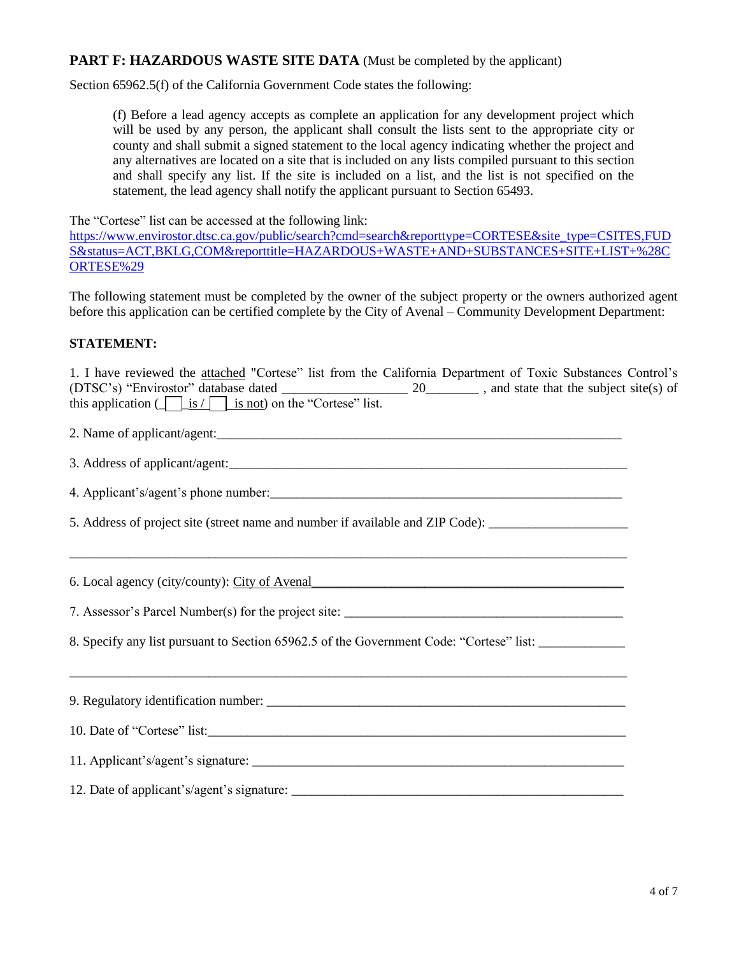#### **PART F: HAZARDOUS WASTE SITE DATA** (Must be completed by the applicant)

Section 65962.5(f) of the California Government Code states the following:

(f) Before a lead agency accepts as complete an application for any development project which will be used by any person, the applicant shall consult the lists sent to the appropriate city or county and shall submit a signed statement to the local agency indicating whether the project and any alternatives are located on a site that is included on any lists compiled pursuant to this section and shall specify any list. If the site is included on a list, and the list is not specified on the statement, the lead agency shall notify the applicant pursuant to Section 65493.

The "Cortese" list can be accessed at the following link:

[https://www.envirostor.dtsc.ca.gov/public/search?cmd=search&reporttype=CORTESE&site\\_type=CSITES,FUD](https://www.envirostor.dtsc.ca.gov/public/search?cmd=search&reporttype=CORTESE&site_type=CSITES,FUDS&status=ACT,BKLG,COM&reporttitle=HAZARDOUS+WASTE+AND+SUBSTANCES+SITE+LIST+%28CORTESE%29) [S&status=ACT,BKLG,COM&reporttitle=HAZARDOUS+WASTE+AND+SUBSTANCES+SITE+LIST+%28C](https://www.envirostor.dtsc.ca.gov/public/search?cmd=search&reporttype=CORTESE&site_type=CSITES,FUDS&status=ACT,BKLG,COM&reporttitle=HAZARDOUS+WASTE+AND+SUBSTANCES+SITE+LIST+%28CORTESE%29) [ORTESE%29](https://www.envirostor.dtsc.ca.gov/public/search?cmd=search&reporttype=CORTESE&site_type=CSITES,FUDS&status=ACT,BKLG,COM&reporttitle=HAZARDOUS+WASTE+AND+SUBSTANCES+SITE+LIST+%28CORTESE%29)

The following statement must be completed by the owner of the subject property or the owners authorized agent before this application can be certified complete by the City of Avenal – Community Development Department:

#### **STATEMENT:**

| 1. I have reviewed the attached "Cortese" list from the California Department of Toxic Substances Control's<br>this application $(\boxed{\phantom{a}}\underline{\hspace{1cm}}$ is $/\boxed{\phantom{a}}$ is not) on the "Cortese" list. |
|-----------------------------------------------------------------------------------------------------------------------------------------------------------------------------------------------------------------------------------------|
|                                                                                                                                                                                                                                         |
|                                                                                                                                                                                                                                         |
|                                                                                                                                                                                                                                         |
| 5. Address of project site (street name and number if available and ZIP Code): _____________________                                                                                                                                    |
| 6. Local agency (city/county): City of Avenal example and all the state of the state of the state of the state of the state of the state of the state of the state of the state of the state of the state of the state of the           |
|                                                                                                                                                                                                                                         |
| 8. Specify any list pursuant to Section 65962.5 of the Government Code: "Cortese" list: ____________                                                                                                                                    |
|                                                                                                                                                                                                                                         |
| 10. Date of "Cortese" list:                                                                                                                                                                                                             |
|                                                                                                                                                                                                                                         |
|                                                                                                                                                                                                                                         |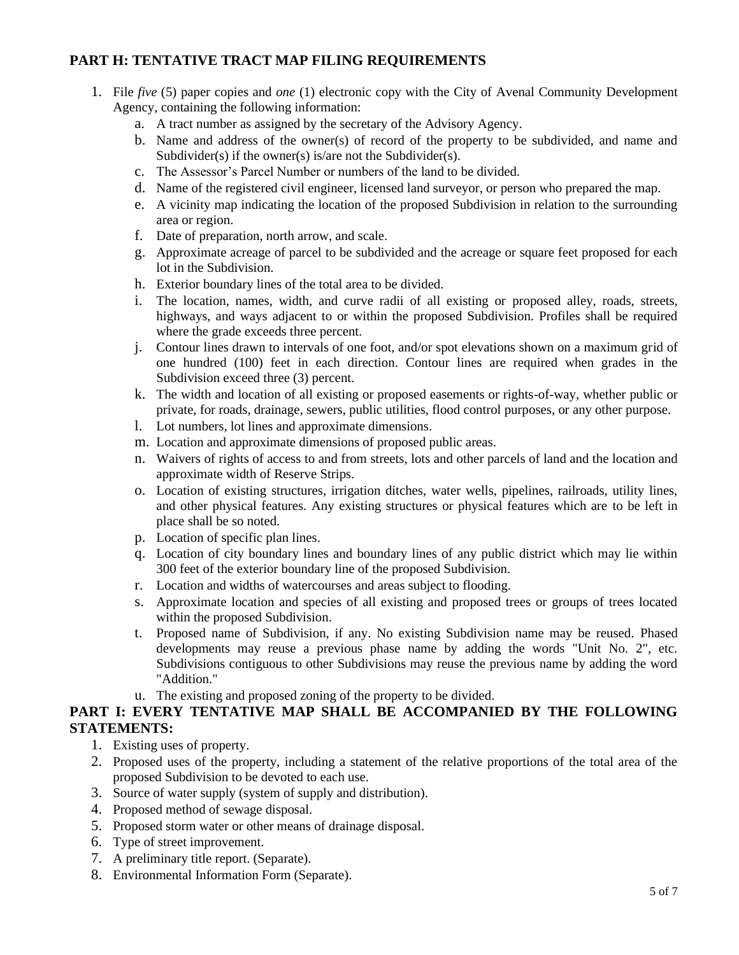## **PART H: TENTATIVE TRACT MAP FILING REQUIREMENTS**

- 1. File *five* (5) paper copies and *one* (1) electronic copy with the City of Avenal Community Development Agency, containing the following information:
	- a. A tract number as assigned by the secretary of the Advisory Agency.
	- b. Name and address of the owner(s) of record of the property to be subdivided, and name and Subdivider(s) if the owner(s) is/are not the Subdivider(s).
	- c. The Assessor's Parcel Number or numbers of the land to be divided.
	- d. Name of the registered civil engineer, licensed land surveyor, or person who prepared the map.
	- e. A vicinity map indicating the location of the proposed Subdivision in relation to the surrounding area or region.
	- f. Date of preparation, north arrow, and scale.
	- g. Approximate acreage of parcel to be subdivided and the acreage or square feet proposed for each lot in the Subdivision.
	- h. Exterior boundary lines of the total area to be divided.
	- i. The location, names, width, and curve radii of all existing or proposed alley, roads, streets, highways, and ways adjacent to or within the proposed Subdivision. Profiles shall be required where the grade exceeds three percent.
	- j. Contour lines drawn to intervals of one foot, and/or spot elevations shown on a maximum grid of one hundred (100) feet in each direction. Contour lines are required when grades in the Subdivision exceed three (3) percent.
	- k. The width and location of all existing or proposed easements or rights-of-way, whether public or private, for roads, drainage, sewers, public utilities, flood control purposes, or any other purpose.
	- l. Lot numbers, lot lines and approximate dimensions.
	- m. Location and approximate dimensions of proposed public areas.
	- n. Waivers of rights of access to and from streets, lots and other parcels of land and the location and approximate width of Reserve Strips.
	- o. Location of existing structures, irrigation ditches, water wells, pipelines, railroads, utility lines, and other physical features. Any existing structures or physical features which are to be left in place shall be so noted.
	- p. Location of specific plan lines.
	- q. Location of city boundary lines and boundary lines of any public district which may lie within 300 feet of the exterior boundary line of the proposed Subdivision.
	- r. Location and widths of watercourses and areas subject to flooding.
	- s. Approximate location and species of all existing and proposed trees or groups of trees located within the proposed Subdivision.
	- t. Proposed name of Subdivision, if any. No existing Subdivision name may be reused. Phased developments may reuse a previous phase name by adding the words "Unit No. 2", etc. Subdivisions contiguous to other Subdivisions may reuse the previous name by adding the word "Addition."
	- u. The existing and proposed zoning of the property to be divided.

#### **PART I: EVERY TENTATIVE MAP SHALL BE ACCOMPANIED BY THE FOLLOWING STATEMENTS:**

- 1. Existing uses of property.
- 2. Proposed uses of the property, including a statement of the relative proportions of the total area of the proposed Subdivision to be devoted to each use.
- 3. Source of water supply (system of supply and distribution).
- 4. Proposed method of sewage disposal.
- 5. Proposed storm water or other means of drainage disposal.
- 6. Type of street improvement.
- 7. A preliminary title report. (Separate).
- 8. Environmental Information Form (Separate).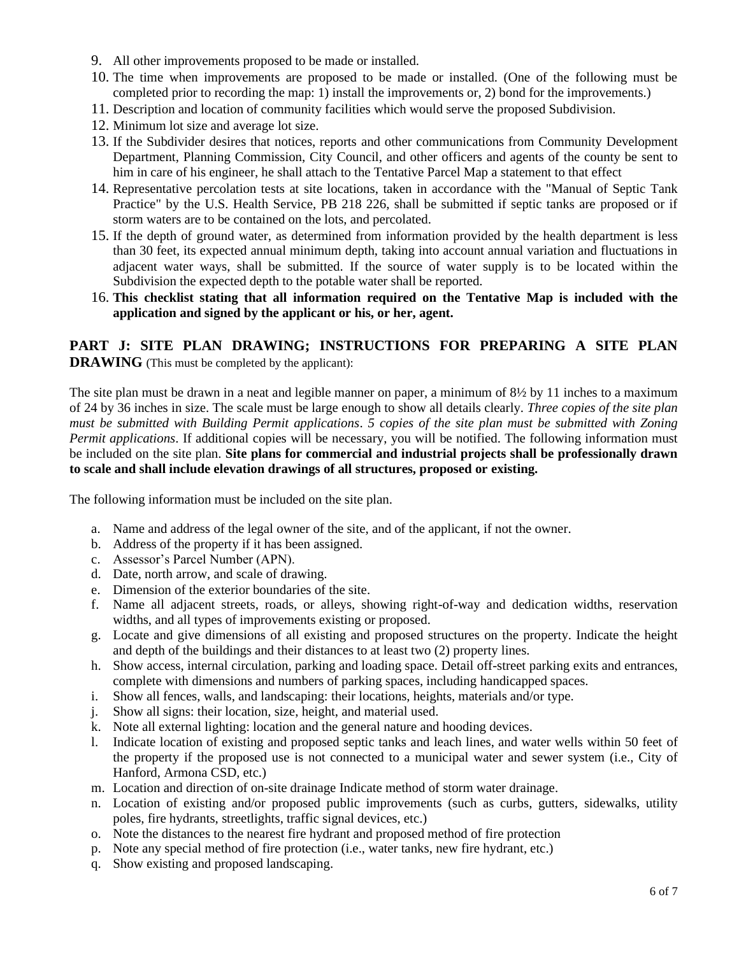- 9. All other improvements proposed to be made or installed.
- 10. The time when improvements are proposed to be made or installed. (One of the following must be completed prior to recording the map: 1) install the improvements or, 2) bond for the improvements.)
- 11. Description and location of community facilities which would serve the proposed Subdivision.
- 12. Minimum lot size and average lot size.
- 13. If the Subdivider desires that notices, reports and other communications from Community Development Department, Planning Commission, City Council, and other officers and agents of the county be sent to him in care of his engineer, he shall attach to the Tentative Parcel Map a statement to that effect
- 14. Representative percolation tests at site locations, taken in accordance with the "Manual of Septic Tank Practice" by the U.S. Health Service, PB 218 226, shall be submitted if septic tanks are proposed or if storm waters are to be contained on the lots, and percolated.
- 15. If the depth of ground water, as determined from information provided by the health department is less than 30 feet, its expected annual minimum depth, taking into account annual variation and fluctuations in adjacent water ways, shall be submitted. If the source of water supply is to be located within the Subdivision the expected depth to the potable water shall be reported.
- 16. **This checklist stating that all information required on the Tentative Map is included with the application and signed by the applicant or his, or her, agent.**

## **PART J: SITE PLAN DRAWING; INSTRUCTIONS FOR PREPARING A SITE PLAN DRAWING** (This must be completed by the applicant):

The site plan must be drawn in a neat and legible manner on paper, a minimum of 8½ by 11 inches to a maximum of 24 by 36 inches in size. The scale must be large enough to show all details clearly. *Three copies of the site plan must be submitted with Building Permit applications*. *5 copies of the site plan must be submitted with Zoning Permit applications*. If additional copies will be necessary, you will be notified. The following information must be included on the site plan. **Site plans for commercial and industrial projects shall be professionally drawn to scale and shall include elevation drawings of all structures, proposed or existing.**

The following information must be included on the site plan.

- a. Name and address of the legal owner of the site, and of the applicant, if not the owner.
- b. Address of the property if it has been assigned.
- c. Assessor's Parcel Number (APN).
- d. Date, north arrow, and scale of drawing.
- e. Dimension of the exterior boundaries of the site.
- f. Name all adjacent streets, roads, or alleys, showing right-of-way and dedication widths, reservation widths, and all types of improvements existing or proposed.
- g. Locate and give dimensions of all existing and proposed structures on the property. Indicate the height and depth of the buildings and their distances to at least two (2) property lines.
- h. Show access, internal circulation, parking and loading space. Detail off-street parking exits and entrances, complete with dimensions and numbers of parking spaces, including handicapped spaces.
- i. Show all fences, walls, and landscaping: their locations, heights, materials and/or type.
- j. Show all signs: their location, size, height, and material used.
- k. Note all external lighting: location and the general nature and hooding devices.
- l. Indicate location of existing and proposed septic tanks and leach lines, and water wells within 50 feet of the property if the proposed use is not connected to a municipal water and sewer system (i.e., City of Hanford, Armona CSD, etc.)
- m. Location and direction of on-site drainage Indicate method of storm water drainage.
- n. Location of existing and/or proposed public improvements (such as curbs, gutters, sidewalks, utility poles, fire hydrants, streetlights, traffic signal devices, etc.)
- o. Note the distances to the nearest fire hydrant and proposed method of fire protection
- p. Note any special method of fire protection (i.e., water tanks, new fire hydrant, etc.)
- q. Show existing and proposed landscaping.